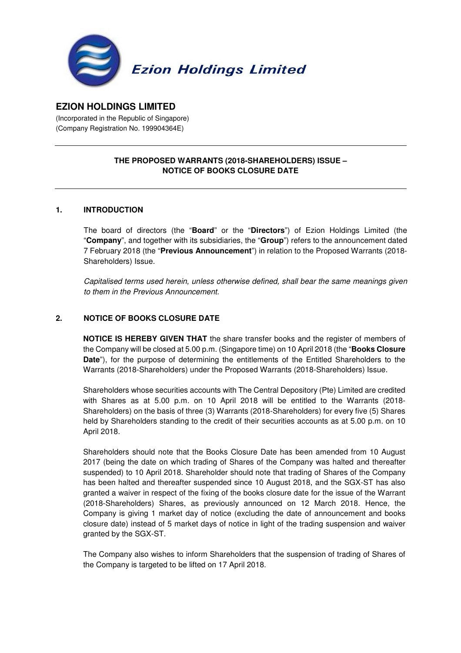

# **EZION HOLDINGS LIMITED**

(Incorporated in the Republic of Singapore) (Company Registration No. 199904364E)

# **THE PROPOSED WARRANTS (2018-SHAREHOLDERS) ISSUE – NOTICE OF BOOKS CLOSURE DATE**

#### **1. INTRODUCTION**

The board of directors (the "**Board**" or the "**Directors**") of Ezion Holdings Limited (the "**Company**", and together with its subsidiaries, the "**Group**") refers to the announcement dated 7 February 2018 (the "**Previous Announcement**") in relation to the Proposed Warrants (2018- Shareholders) Issue.

Capitalised terms used herein, unless otherwise defined, shall bear the same meanings given to them in the Previous Announcement.

### **2. NOTICE OF BOOKS CLOSURE DATE**

**NOTICE IS HEREBY GIVEN THAT** the share transfer books and the register of members of the Company will be closed at 5.00 p.m. (Singapore time) on 10 April 2018 (the "**Books Closure Date**"), for the purpose of determining the entitlements of the Entitled Shareholders to the Warrants (2018-Shareholders) under the Proposed Warrants (2018-Shareholders) Issue.

Shareholders whose securities accounts with The Central Depository (Pte) Limited are credited with Shares as at 5.00 p.m. on 10 April 2018 will be entitled to the Warrants (2018- Shareholders) on the basis of three (3) Warrants (2018-Shareholders) for every five (5) Shares held by Shareholders standing to the credit of their securities accounts as at 5.00 p.m. on 10 April 2018.

Shareholders should note that the Books Closure Date has been amended from 10 August 2017 (being the date on which trading of Shares of the Company was halted and thereafter suspended) to 10 April 2018. Shareholder should note that trading of Shares of the Company has been halted and thereafter suspended since 10 August 2018, and the SGX-ST has also granted a waiver in respect of the fixing of the books closure date for the issue of the Warrant (2018-Shareholders) Shares, as previously announced on 12 March 2018. Hence, the Company is giving 1 market day of notice (excluding the date of announcement and books closure date) instead of 5 market days of notice in light of the trading suspension and waiver granted by the SGX-ST.

The Company also wishes to inform Shareholders that the suspension of trading of Shares of the Company is targeted to be lifted on 17 April 2018.